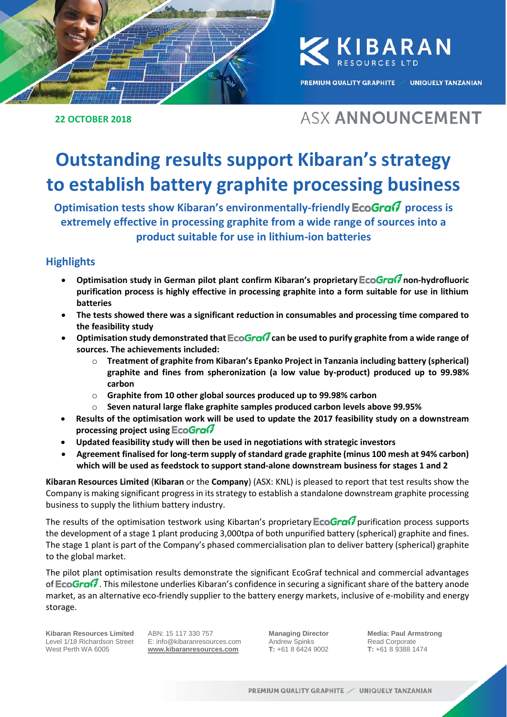

KKIBARAN

**PREMIUM QUALITY GRAPHITE** 

**UNIQUELY TANZANIAN** 

## **22 OCTOBER 2018**

# **ASX ANNOUNCEMENT**

# **Outstanding results support Kibaran's strategy to establish battery graphite processing business**

**Optimisation tests show Kibaran's environmentally-friendly EcoGra** $\sigma$  **process is extremely effective in processing graphite from a wide range of sources into a product suitable for use in lithium-ion batteries**

# **Highlights**

- **Optimisation study in German pilot plant confirm Kibaran's proprietary non-hydrofluoric purification process is highly effective in processing graphite into a form suitable for use in lithium batteries**
- **The tests showed there was a significant reduction in consumables and processing time compared to the feasibility study**
- **Optimisation study demonstrated that EcoGra** $\widehat{G}$  **can be used to purify graphite from a wide range of sources. The achievements included:**
	- o **Treatment of graphite from Kibaran's Epanko Project in Tanzania including battery (spherical) graphite and fines from spheronization (a low value by-product) produced up to 99.98% carbon**
	- o **Graphite from 10 other global sources produced up to 99.98% carbon**
	- o **Seven natural large flake graphite samples produced carbon levels above 99.95%**
- **Results of the optimisation work will be used to update the 2017 feasibility study on a downstream processing project using**
- **Updated feasibility study will then be used in negotiations with strategic investors**
- **Agreement finalised for long-term supply of standard grade graphite (minus 100 mesh at 94% carbon) which will be used as feedstock to support stand-alone downstream business for stages 1 and 2**

**Kibaran Resources Limited** (**Kibaran** or the **Company**) (ASX: KNL) is pleased to report that test results show the Company is making significant progress in its strategy to establish a standalone downstream graphite processing business to supply the lithium battery industry.

The results of the optimisation testwork using Kibartan's proprietary **EcoGra** $\theta$  purification process supports the development of a stage 1 plant producing 3,000tpa of both unpurified battery (spherical) graphite and fines. The stage 1 plant is part of the Company's phased commercialisation plan to deliver battery (spherical) graphite to the global market.

The pilot plant optimisation results demonstrate the significant EcoGraf technical and commercial advantages of **EcoGraf** . This milestone underlies Kibaran's confidence in securing a significant share of the battery anode market, as an alternative eco-friendly supplier to the battery energy markets, inclusive of e-mobility and energy storage.

**Kibaran Resources Limited** Level 1/18 Richardson Street West Perth WA 6005

ABN: 15 117 330 757 E: info@kibaranresources.com **www.kibaranresources.com**

**Managing Director** Andrew Spinks **T:** +61 8 6424 9002 **Media: Paul Armstrong** Read Corporate **T:** +61 8 9388 1474 **1**